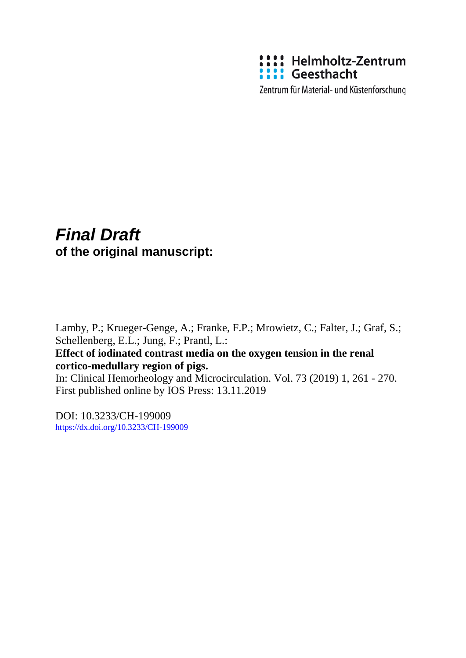

Zentrum für Material- und Küstenforschung

# *Final Draft*  **of the original manuscript:**

Lamby, P.; Krueger-Genge, A.; Franke, F.P.; Mrowietz, C.; Falter, J.; Graf, S.; Schellenberg, E.L.; Jung, F.; Prantl, L.: **Effect of iodinated contrast media on the oxygen tension in the renal cortico-medullary region of pigs.**  In: Clinical Hemorheology and Microcirculation. Vol. 73 (2019) 1, 261 - 270. First published online by IOS Press: 13.11.2019

DOI: 10.3233/CH-199009 <https://dx.doi.org/10.3233/CH-199009>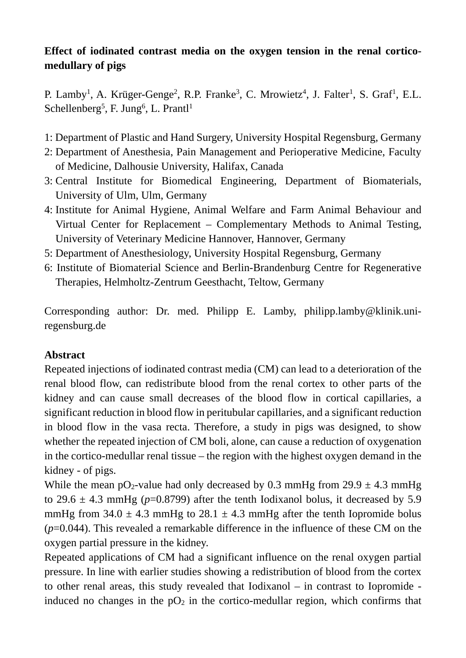# **Effect of iodinated contrast media on the oxygen tension in the renal corticomedullary of pigs**

P. Lamby<sup>1</sup>, A. Krüger-Genge<sup>2</sup>, R.P. Franke<sup>3</sup>, C. Mrowietz<sup>4</sup>, J. Falter<sup>1</sup>, S. Graf<sup>1</sup>, E.L. Schellenberg<sup>5</sup>, F. Jung<sup>6</sup>, L. Prantl<sup>1</sup>

- 1: Department of Plastic and Hand Surgery, University Hospital Regensburg, Germany
- 2: Department of Anesthesia, Pain Management and Perioperative Medicine, Faculty of Medicine, Dalhousie University, Halifax, Canada
- 3: Central Institute for Biomedical Engineering, Department of Biomaterials, University of Ulm, Ulm, Germany
- 4: Institute for Animal Hygiene, Animal Welfare and Farm Animal Behaviour and Virtual Center for Replacement – Complementary Methods to Animal Testing, University of Veterinary Medicine Hannover, Hannover, Germany
- 5: Department of Anesthesiology, University Hospital Regensburg, Germany
- 6: Institute of Biomaterial Science and Berlin-Brandenburg Centre for Regenerative Therapies, Helmholtz-Zentrum Geesthacht, Teltow, Germany

Corresponding author: Dr. med. Philipp E. Lamby, philipp.lamby@klinik.uniregensburg.de

# **Abstract**

Repeated injections of iodinated contrast media (CM) can lead to a deterioration of the renal blood flow, can redistribute blood from the renal cortex to other parts of the kidney and can cause small decreases of the blood flow in cortical capillaries, a significant reduction in blood flow in peritubular capillaries, and a significant reduction in blood flow in the vasa recta. Therefore, a study in pigs was designed, to show whether the repeated injection of CM boli, alone, can cause a reduction of oxygenation in the cortico-medullar renal tissue – the region with the highest oxygen demand in the kidney - of pigs.

While the mean pO<sub>2</sub>-value had only decreased by 0.3 mmHg from  $29.9 \pm 4.3$  mmHg to 29.6  $\pm$  4.3 mmHg ( $p$ =0.8799) after the tenth Iodixanol bolus, it decreased by 5.9 mmHg from  $34.0 \pm 4.3$  mmHg to  $28.1 \pm 4.3$  mmHg after the tenth Iopromide bolus (*p*=0.044). This revealed a remarkable difference in the influence of these CM on the oxygen partial pressure in the kidney.

Repeated applications of CM had a significant influence on the renal oxygen partial pressure. In line with earlier studies showing a redistribution of blood from the cortex to other renal areas, this study revealed that Iodixanol – in contrast to Iopromide induced no changes in the  $pO_2$  in the cortico-medullar region, which confirms that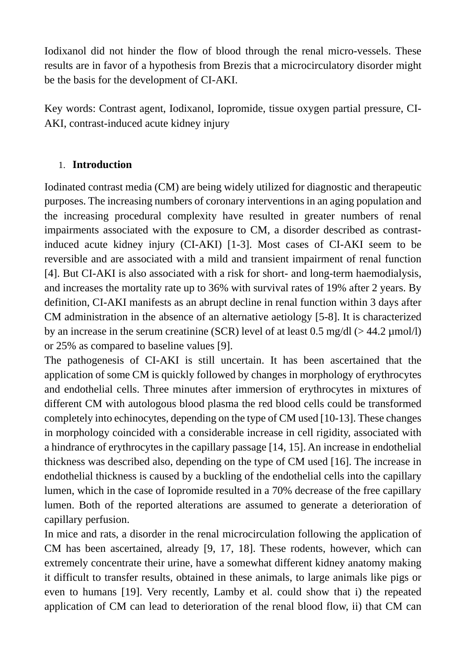Iodixanol did not hinder the flow of blood through the renal micro-vessels. These results are in favor of a hypothesis from Brezis that a microcirculatory disorder might be the basis for the development of CI-AKI.

Key words: Contrast agent, Iodixanol, Iopromide, tissue oxygen partial pressure, CI-AKI, contrast-induced acute kidney injury

#### 1. **Introduction**

Iodinated contrast media (CM) are being widely utilized for diagnostic and therapeutic purposes. The increasing numbers of coronary interventions in an aging population and the increasing procedural complexity have resulted in greater numbers of renal impairments associated with the exposure to CM, a disorder described as contrastinduced acute kidney injury (CI-AKI) [1-3]. Most cases of CI-AKI seem to be reversible and are associated with a mild and transient impairment of renal function [4]. But CI-AKI is also associated with a risk for short- and long-term haemodialysis, and increases the mortality rate up to 36% with survival rates of 19% after 2 years. By definition, CI-AKI manifests as an abrupt decline in renal function within 3 days after CM administration in the absence of an alternative aetiology [5-8]. It is characterized by an increase in the serum creatinine (SCR) level of at least  $0.5 \text{ mg/dl}$  ( $> 44.2 \text{ µmol/l}$ ) or 25% as compared to baseline values [9].

The pathogenesis of CI-AKI is still uncertain. It has been ascertained that the application of some CM is quickly followed by changes in morphology of erythrocytes and endothelial cells. Three minutes after immersion of erythrocytes in mixtures of different CM with autologous blood plasma the red blood cells could be transformed completely into echinocytes, depending on the type of CM used [10-13]. These changes in morphology coincided with a considerable increase in cell rigidity, associated with a hindrance of erythrocytes in the capillary passage [14, 15]. An increase in endothelial thickness was described also, depending on the type of CM used [16]. The increase in endothelial thickness is caused by a buckling of the endothelial cells into the capillary lumen, which in the case of Iopromide resulted in a 70% decrease of the free capillary lumen. Both of the reported alterations are assumed to generate a deterioration of capillary perfusion.

In mice and rats, a disorder in the renal microcirculation following the application of CM has been ascertained, already [9, 17, 18]. These rodents, however, which can extremely concentrate their urine, have a somewhat different kidney anatomy making it difficult to transfer results, obtained in these animals, to large animals like pigs or even to humans [19]. Very recently, Lamby et al. could show that i) the repeated application of CM can lead to deterioration of the renal blood flow, ii) that CM can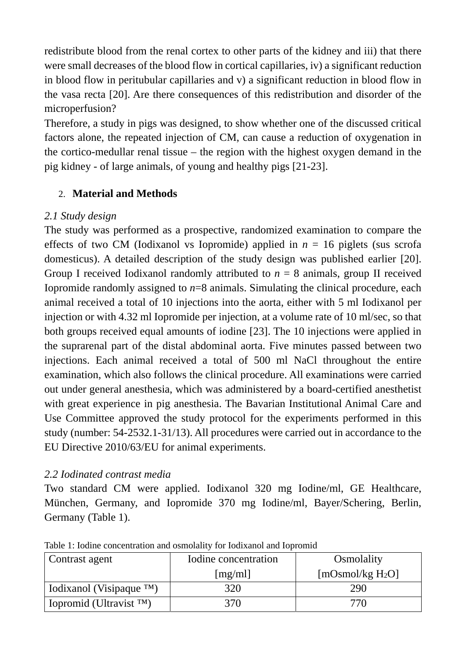redistribute blood from the renal cortex to other parts of the kidney and iii) that there were small decreases of the blood flow in cortical capillaries, iv) a significant reduction in blood flow in peritubular capillaries and v) a significant reduction in blood flow in the vasa recta [20]. Are there consequences of this redistribution and disorder of the microperfusion?

Therefore, a study in pigs was designed, to show whether one of the discussed critical factors alone, the repeated injection of CM, can cause a reduction of oxygenation in the cortico-medullar renal tissue – the region with the highest oxygen demand in the pig kidney - of large animals, of young and healthy pigs [21-23].

# 2. **Material and Methods**

# *2.1 Study design*

The study was performed as a prospective, randomized examination to compare the effects of two CM (Iodixanol vs Iopromide) applied in  $n = 16$  piglets (sus scrofa domesticus). A detailed description of the study design was published earlier [20]. Group I received Iodixanol randomly attributed to  $n = 8$  animals, group II received Iopromide randomly assigned to  $n=8$  animals. Simulating the clinical procedure, each animal received a total of 10 injections into the aorta, either with 5 ml Iodixanol per injection or with 4.32 ml Iopromide per injection, at a volume rate of 10 ml/sec, so that both groups received equal amounts of iodine [23]. The 10 injections were applied in the suprarenal part of the distal abdominal aorta. Five minutes passed between two injections. Each animal received a total of 500 ml NaCl throughout the entire examination, which also follows the clinical procedure. All examinations were carried out under general anesthesia, which was administered by a board-certified anesthetist with great experience in pig anesthesia. The Bavarian Institutional Animal Care and Use Committee approved the study protocol for the experiments performed in this study (number: 54-2532.1-31/13). All procedures were carried out in accordance to the EU Directive 2010/63/EU for animal experiments.

# *2.2 Iodinated contrast media*

Two standard CM were applied. Iodixanol 320 mg Iodine/ml, GE Healthcare, München, Germany, and Iopromide 370 mg Iodine/ml, Bayer/Schering, Berlin, Germany (Table 1).

| Contrast agent              | Iodine concentration | Osmolality          |
|-----------------------------|----------------------|---------------------|
|                             | [mg/ml]              | [mOsmol/kg $H_2O$ ] |
| Iodixanol (Visipaque $TM$ ) | 320                  | 290                 |
| Iopromid (Ultravist $TM$ )  | 370                  | 770                 |

Table 1: Iodine concentration and osmolality for Iodixanol and Iopromid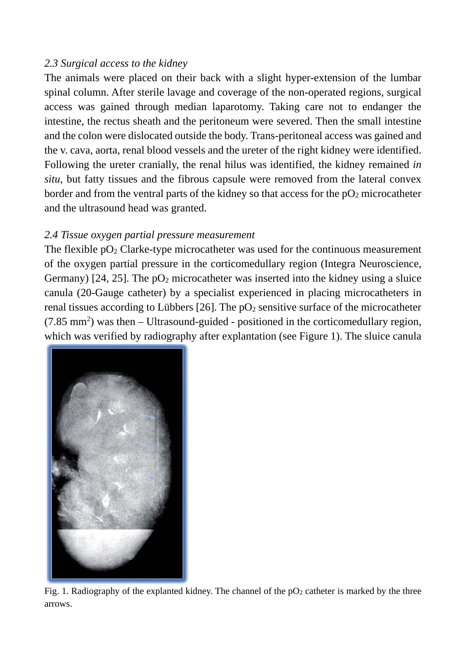#### *2.3 Surgical access to the kidney*

The animals were placed on their back with a slight hyper-extension of the lumbar spinal column. After sterile lavage and coverage of the non-operated regions, surgical access was gained through median laparotomy. Taking care not to endanger the intestine, the rectus sheath and the peritoneum were severed. Then the small intestine and the colon were dislocated outside the body. Trans-peritoneal access was gained and the v. cava, aorta, renal blood vessels and the ureter of the right kidney were identified. Following the ureter cranially, the renal hilus was identified, the kidney remained *in situ*, but fatty tissues and the fibrous capsule were removed from the lateral convex border and from the ventral parts of the kidney so that access for the  $pO<sub>2</sub>$  microcatheter and the ultrasound head was granted.

# *2.4 Tissue oxygen partial pressure measurement*

The flexible  $pO_2$  Clarke-type microcatheter was used for the continuous measurement of the oxygen partial pressure in the corticomedullary region (Integra Neuroscience, Germany) [24, 25]. The  $pO_2$  microcatheter was inserted into the kidney using a sluice canula (20-Gauge catheter) by a specialist experienced in placing microcatheters in renal tissues according to Lübbers  $[26]$ . The  $pO<sub>2</sub>$  sensitive surface of the microcatheter  $(7.85 \text{ mm}^2)$  was then  $-$  Ultrasound-guided - positioned in the corticomedullary region, which was verified by radiography after explantation (see Figure 1). The sluice canula



Fig. 1. Radiography of the explanted kidney. The channel of the  $pO<sub>2</sub>$  catheter is marked by the three arrows.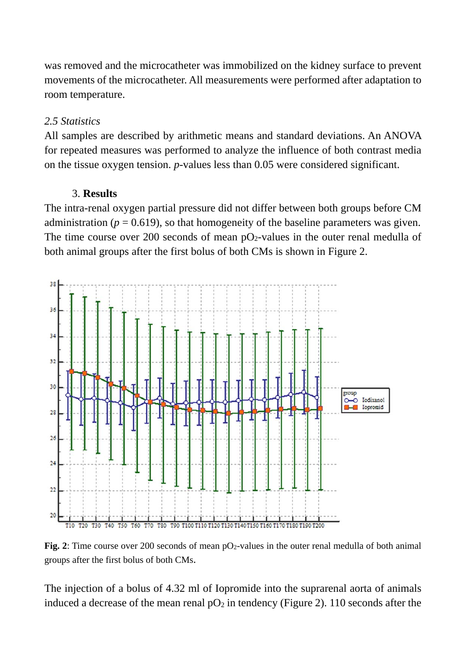was removed and the microcatheter was immobilized on the kidney surface to prevent movements of the microcatheter. All measurements were performed after adaptation to room temperature.

#### *2.5 Statistics*

All samples are described by arithmetic means and standard deviations. An ANOVA for repeated measures was performed to analyze the influence of both contrast media on the tissue oxygen tension. *p*-values less than 0.05 were considered significant.

#### 3. **Results**

The intra-renal oxygen partial pressure did not differ between both groups before CM administration ( $p = 0.619$ ), so that homogeneity of the baseline parameters was given. The time course over 200 seconds of mean  $pQ_2$ -values in the outer renal medulla of both animal groups after the first bolus of both CMs is shown in Figure 2.



Fig. 2: Time course over 200 seconds of mean pO<sub>2</sub>-values in the outer renal medulla of both animal groups after the first bolus of both CMs.

The injection of a bolus of 4.32 ml of Iopromide into the suprarenal aorta of animals induced a decrease of the mean renal  $pO_2$  in tendency (Figure 2). 110 seconds after the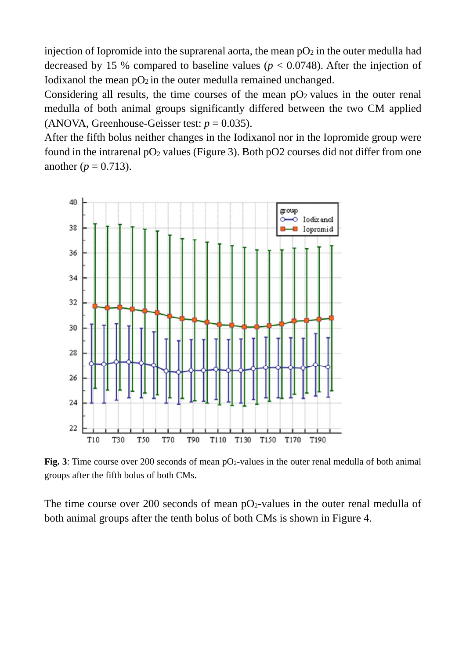injection of Iopromide into the suprarenal aorta, the mean  $pO<sub>2</sub>$  in the outer medulla had decreased by 15 % compared to baseline values ( $p < 0.0748$ ). After the injection of Iodixanol the mean  $pO_2$  in the outer medulla remained unchanged.

Considering all results, the time courses of the mean  $pO<sub>2</sub>$  values in the outer renal medulla of both animal groups significantly differed between the two CM applied (ANOVA, Greenhouse-Geisser test:  $p = 0.035$ ).

After the fifth bolus neither changes in the Iodixanol nor in the Iopromide group were found in the intrarenal  $pO_2$  values (Figure 3). Both  $pO_2$  courses did not differ from one another ( $p = 0.713$ ).



**Fig. 3**: Time course over 200 seconds of mean pO<sub>2</sub>-values in the outer renal medulla of both animal groups after the fifth bolus of both CMs.

The time course over 200 seconds of mean  $pQ_2$ -values in the outer renal medulla of both animal groups after the tenth bolus of both CMs is shown in Figure 4.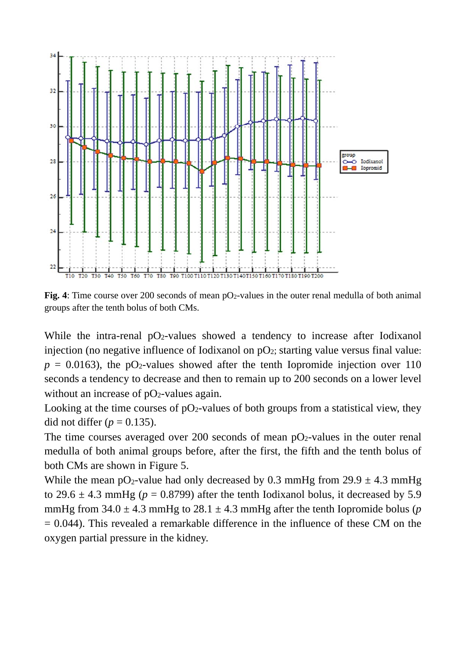

**Fig. 4**: Time course over 200 seconds of mean pO<sub>2</sub>-values in the outer renal medulla of both animal groups after the tenth bolus of both CMs.

While the intra-renal  $pO_2$ -values showed a tendency to increase after Iodixanol injection (no negative influence of Iodixanol on  $pO_2$ ; starting value versus final value:  $p = 0.0163$ ), the pO<sub>2</sub>-values showed after the tenth Iopromide injection over 110 seconds a tendency to decrease and then to remain up to 200 seconds on a lower level without an increase of  $pO<sub>2</sub>$ -values again.

Looking at the time courses of  $pO_2$ -values of both groups from a statistical view, they did not differ  $(p = 0.135)$ .

The time courses averaged over 200 seconds of mean  $pO<sub>2</sub>$ -values in the outer renal medulla of both animal groups before, after the first, the fifth and the tenth bolus of both CMs are shown in Figure 5.

While the mean pO<sub>2</sub>-value had only decreased by 0.3 mmHg from  $29.9 \pm 4.3$  mmHg to 29.6  $\pm$  4.3 mmHg ( $p = 0.8799$ ) after the tenth Iodixanol bolus, it decreased by 5.9 mmHg from  $34.0 \pm 4.3$  mmHg to  $28.1 \pm 4.3$  mmHg after the tenth Iopromide bolus (*p*  $= 0.044$ ). This revealed a remarkable difference in the influence of these CM on the oxygen partial pressure in the kidney.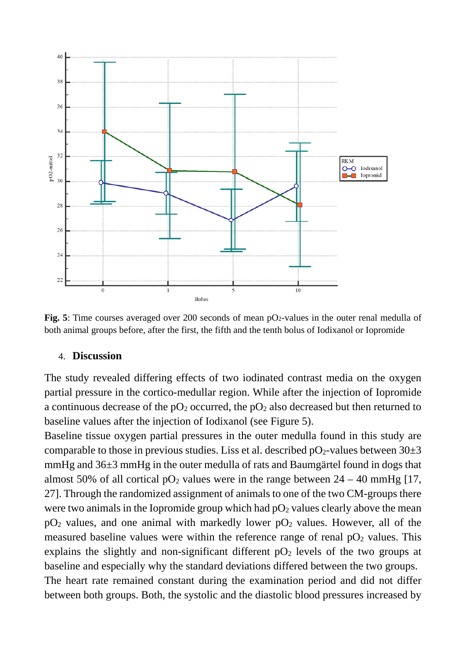

Fig. 5: Time courses averaged over 200 seconds of mean pO<sub>2</sub>-values in the outer renal medulla of both animal groups before, after the first, the fifth and the tenth bolus of Iodixanol or Iopromide

#### 4. **Discussion**

The study revealed differing effects of two iodinated contrast media on the oxygen partial pressure in the cortico-medullar region. While after the injection of Iopromide a continuous decrease of the  $pO_2$  occurred, the  $pO_2$  also decreased but then returned to baseline values after the injection of Iodixanol (see Figure 5).

Baseline tissue oxygen partial pressures in the outer medulla found in this study are comparable to those in previous studies. Liss et al. described  $pO<sub>2</sub>$ -values between  $30±3$ mmHg and 36±3 mmHg in the outer medulla of rats and Baumgärtel found in dogs that almost 50% of all cortical  $pO_2$  values were in the range between  $24 - 40$  mmHg [17, 27]. Through the randomized assignment of animals to one of the two CM-groups there were two animals in the Iopromide group which had  $pO<sub>2</sub>$  values clearly above the mean  $pO<sub>2</sub>$  values, and one animal with markedly lower  $pO<sub>2</sub>$  values. However, all of the measured baseline values were within the reference range of renal  $pO<sub>2</sub>$  values. This explains the slightly and non-significant different  $pO<sub>2</sub>$  levels of the two groups at baseline and especially why the standard deviations differed between the two groups. The heart rate remained constant during the examination period and did not differ between both groups. Both, the systolic and the diastolic blood pressures increased by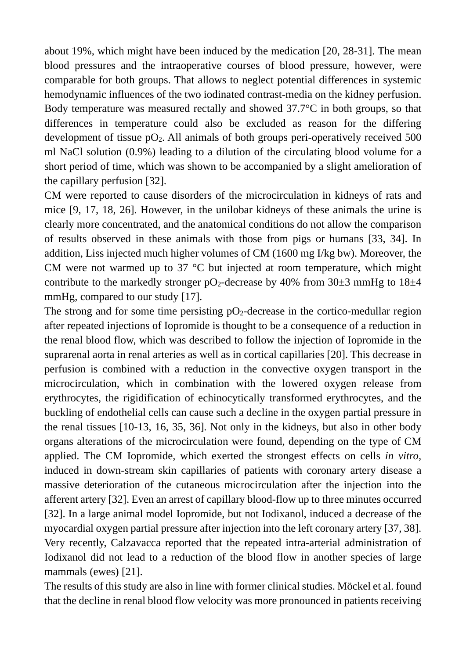about 19%, which might have been induced by the medication [20, 28-31]. The mean blood pressures and the intraoperative courses of blood pressure, however, were comparable for both groups. That allows to neglect potential differences in systemic hemodynamic influences of the two iodinated contrast-media on the kidney perfusion. Body temperature was measured rectally and showed 37.7°C in both groups, so that differences in temperature could also be excluded as reason for the differing development of tissue  $pO_2$ . All animals of both groups peri-operatively received 500 ml NaCl solution (0.9%) leading to a dilution of the circulating blood volume for a short period of time, which was shown to be accompanied by a slight amelioration of the capillary perfusion [32].

CM were reported to cause disorders of the microcirculation in kidneys of rats and mice [9, 17, 18, 26]. However, in the unilobar kidneys of these animals the urine is clearly more concentrated, and the anatomical conditions do not allow the comparison of results observed in these animals with those from pigs or humans [33, 34]. In addition, Liss injected much higher volumes of CM (1600 mg I/kg bw). Moreover, the CM were not warmed up to 37 °C but injected at room temperature, which might contribute to the markedly stronger  $pO_2$ -decrease by 40% from 30 $\pm$ 3 mmHg to 18 $\pm$ 4 mmHg, compared to our study [17].

The strong and for some time persisting  $pO<sub>2</sub>$ -decrease in the cortico-medullar region after repeated injections of Iopromide is thought to be a consequence of a reduction in the renal blood flow, which was described to follow the injection of Iopromide in the suprarenal aorta in renal arteries as well as in cortical capillaries [20]. This decrease in perfusion is combined with a reduction in the convective oxygen transport in the microcirculation, which in combination with the lowered oxygen release from erythrocytes, the rigidification of echinocytically transformed erythrocytes, and the buckling of endothelial cells can cause such a decline in the oxygen partial pressure in the renal tissues [10-13, 16, 35, 36]. Not only in the kidneys, but also in other body organs alterations of the microcirculation were found, depending on the type of CM applied. The CM Iopromide, which exerted the strongest effects on cells *in vitro*, induced in down-stream skin capillaries of patients with coronary artery disease a massive deterioration of the cutaneous microcirculation after the injection into the afferent artery [32]. Even an arrest of capillary blood-flow up to three minutes occurred [32]. In a large animal model Iopromide, but not Iodixanol, induced a decrease of the myocardial oxygen partial pressure after injection into the left coronary artery [37, 38]. Very recently, Calzavacca reported that the repeated intra-arterial administration of Iodixanol did not lead to a reduction of the blood flow in another species of large mammals (ewes) [21].

The results of this study are also in line with former clinical studies. Möckel et al. found that the decline in renal blood flow velocity was more pronounced in patients receiving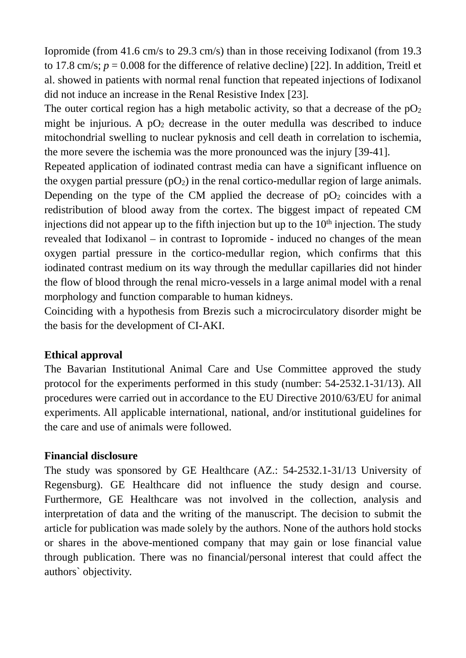Iopromide (from 41.6 cm/s to 29.3 cm/s) than in those receiving Iodixanol (from 19.3 to 17.8 cm/s;  $p = 0.008$  for the difference of relative decline) [22]. In addition, Treitl et al. showed in patients with normal renal function that repeated injections of Iodixanol did not induce an increase in the Renal Resistive Index [23].

The outer cortical region has a high metabolic activity, so that a decrease of the  $pO<sub>2</sub>$ might be injurious. A  $pO_2$  decrease in the outer medulla was described to induce mitochondrial swelling to nuclear pyknosis and cell death in correlation to ischemia, the more severe the ischemia was the more pronounced was the injury [39-41].

Repeated application of iodinated contrast media can have a significant influence on the oxygen partial pressure  $(pO_2)$  in the renal cortico-medullar region of large animals. Depending on the type of the CM applied the decrease of  $pO<sub>2</sub>$  coincides with a redistribution of blood away from the cortex. The biggest impact of repeated CM injections did not appear up to the fifth injection but up to the  $10<sup>th</sup>$  injection. The study revealed that Iodixanol – in contrast to Iopromide - induced no changes of the mean oxygen partial pressure in the cortico-medullar region, which confirms that this iodinated contrast medium on its way through the medullar capillaries did not hinder the flow of blood through the renal micro-vessels in a large animal model with a renal morphology and function comparable to human kidneys.

Coinciding with a hypothesis from Brezis such a microcirculatory disorder might be the basis for the development of CI-AKI.

#### **Ethical approval**

The Bavarian Institutional Animal Care and Use Committee approved the study protocol for the experiments performed in this study (number: 54-2532.1-31/13). All procedures were carried out in accordance to the EU Directive 2010/63/EU for animal experiments. All applicable international, national, and/or institutional guidelines for the care and use of animals were followed.

#### **Financial disclosure**

The study was sponsored by GE Healthcare (AZ.: 54-2532.1-31/13 University of Regensburg). GE Healthcare did not influence the study design and course. Furthermore, GE Healthcare was not involved in the collection, analysis and interpretation of data and the writing of the manuscript. The decision to submit the article for publication was made solely by the authors. None of the authors hold stocks or shares in the above-mentioned company that may gain or lose financial value through publication. There was no financial/personal interest that could affect the authors` objectivity.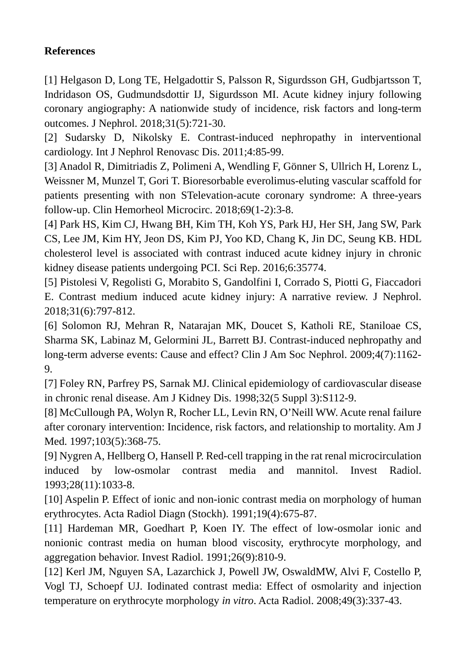# **References**

[1] Helgason D, Long TE, Helgadottir S, Palsson R, Sigurdsson GH, Gudbjartsson T, Indridason OS, Gudmundsdottir IJ, Sigurdsson MI. Acute kidney injury following coronary angiography: A nationwide study of incidence, risk factors and long-term outcomes. J Nephrol. 2018;31(5):721-30.

[2] Sudarsky D, Nikolsky E. Contrast-induced nephropathy in interventional cardiology. Int J Nephrol Renovasc Dis. 2011;4:85-99.

[3] Anadol R, Dimitriadis Z, Polimeni A, Wendling F, Gönner S, Ullrich H, Lorenz L, Weissner M, Munzel T, Gori T. Bioresorbable everolimus-eluting vascular scaffold for patients presenting with non STelevation-acute coronary syndrome: A three-years follow-up. Clin Hemorheol Microcirc. 2018;69(1-2):3-8.

[4] Park HS, Kim CJ, Hwang BH, Kim TH, Koh YS, Park HJ, Her SH, Jang SW, Park CS, Lee JM, Kim HY, Jeon DS, Kim PJ, Yoo KD, Chang K, Jin DC, Seung KB. HDL cholesterol level is associated with contrast induced acute kidney injury in chronic kidney disease patients undergoing PCI. Sci Rep. 2016;6:35774.

[5] Pistolesi V, Regolisti G, Morabito S, Gandolfini I, Corrado S, Piotti G, Fiaccadori E. Contrast medium induced acute kidney injury: A narrative review. J Nephrol. 2018;31(6):797-812.

[6] Solomon RJ, Mehran R, Natarajan MK, Doucet S, Katholi RE, Staniloae CS, Sharma SK, Labinaz M, Gelormini JL, Barrett BJ. Contrast-induced nephropathy and long-term adverse events: Cause and effect? Clin J Am Soc Nephrol. 2009;4(7):1162- 9.

[7] Foley RN, Parfrey PS, Sarnak MJ. Clinical epidemiology of cardiovascular disease in chronic renal disease. Am J Kidney Dis. 1998;32(5 Suppl 3):S112-9.

[8] McCullough PA, Wolyn R, Rocher LL, Levin RN, O'Neill WW. Acute renal failure after coronary intervention: Incidence, risk factors, and relationship to mortality. Am J Med. 1997;103(5):368-75.

[9] Nygren A, Hellberg O, Hansell P. Red-cell trapping in the rat renal microcirculation induced by low-osmolar contrast media and mannitol. Invest Radiol. 1993;28(11):1033-8.

[10] Aspelin P. Effect of ionic and non-ionic contrast media on morphology of human erythrocytes. Acta Radiol Diagn (Stockh). 1991;19(4):675-87.

[11] Hardeman MR, Goedhart P, Koen IY. The effect of low-osmolar ionic and nonionic contrast media on human blood viscosity, erythrocyte morphology, and aggregation behavior. Invest Radiol. 1991;26(9):810-9.

[12] Kerl JM, Nguyen SA, Lazarchick J, Powell JW, OswaldMW, Alvi F, Costello P, Vogl TJ, Schoepf UJ. Iodinated contrast media: Effect of osmolarity and injection temperature on erythrocyte morphology *in vitro*. Acta Radiol. 2008;49(3):337-43.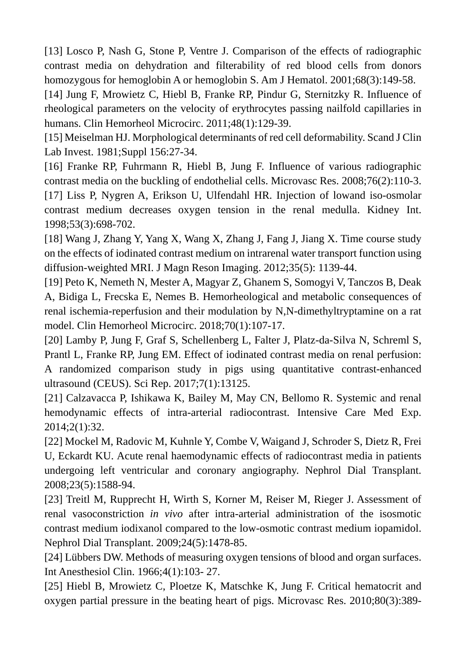[13] Losco P, Nash G, Stone P, Ventre J. Comparison of the effects of radiographic contrast media on dehydration and filterability of red blood cells from donors homozygous for hemoglobin A or hemoglobin S. Am J Hematol. 2001;68(3):149-58.

[14] Jung F, Mrowietz C, Hiebl B, Franke RP, Pindur G, Sternitzky R. Influence of rheological parameters on the velocity of erythrocytes passing nailfold capillaries in humans. Clin Hemorheol Microcirc. 2011;48(1):129-39.

[15] Meiselman HJ. Morphological determinants of red cell deformability. Scand J Clin Lab Invest. 1981;Suppl 156:27-34.

[16] Franke RP, Fuhrmann R, Hiebl B, Jung F. Influence of various radiographic contrast media on the buckling of endothelial cells. Microvasc Res. 2008;76(2):110-3.

[17] Liss P, Nygren A, Erikson U, Ulfendahl HR. Injection of lowand iso-osmolar contrast medium decreases oxygen tension in the renal medulla. Kidney Int. 1998;53(3):698-702.

[18] Wang J, Zhang Y, Yang X, Wang X, Zhang J, Fang J, Jiang X. Time course study on the effects of iodinated contrast medium on intrarenal water transport function using diffusion-weighted MRI. J Magn Reson Imaging. 2012;35(5): 1139-44.

[19] Peto K, Nemeth N, Mester A, Magyar Z, Ghanem S, Somogyi V, Tanczos B, Deak A, Bidiga L, Frecska E, Nemes B. Hemorheological and metabolic consequences of renal ischemia-reperfusion and their modulation by N,N-dimethyltryptamine on a rat model. Clin Hemorheol Microcirc. 2018;70(1):107-17.

[20] Lamby P, Jung F, Graf S, Schellenberg L, Falter J, Platz-da-Silva N, Schreml S, Prantl L, Franke RP, Jung EM. Effect of iodinated contrast media on renal perfusion: A randomized comparison study in pigs using quantitative contrast-enhanced ultrasound (CEUS). Sci Rep. 2017;7(1):13125.

[21] Calzavacca P, Ishikawa K, Bailey M, May CN, Bellomo R. Systemic and renal hemodynamic effects of intra-arterial radiocontrast. Intensive Care Med Exp. 2014;2(1):32.

[22] Mockel M, Radovic M, Kuhnle Y, Combe V, Waigand J, Schroder S, Dietz R, Frei U, Eckardt KU. Acute renal haemodynamic effects of radiocontrast media in patients undergoing left ventricular and coronary angiography. Nephrol Dial Transplant. 2008;23(5):1588-94.

[23] Treitl M, Rupprecht H, Wirth S, Korner M, Reiser M, Rieger J. Assessment of renal vasoconstriction *in vivo* after intra-arterial administration of the isosmotic contrast medium iodixanol compared to the low-osmotic contrast medium iopamidol. Nephrol Dial Transplant. 2009;24(5):1478-85.

[24] Lübbers DW. Methods of measuring oxygen tensions of blood and organ surfaces. Int Anesthesiol Clin. 1966;4(1):103- 27.

[25] Hiebl B, Mrowietz C, Ploetze K, Matschke K, Jung F. Critical hematocrit and oxygen partial pressure in the beating heart of pigs. Microvasc Res. 2010;80(3):389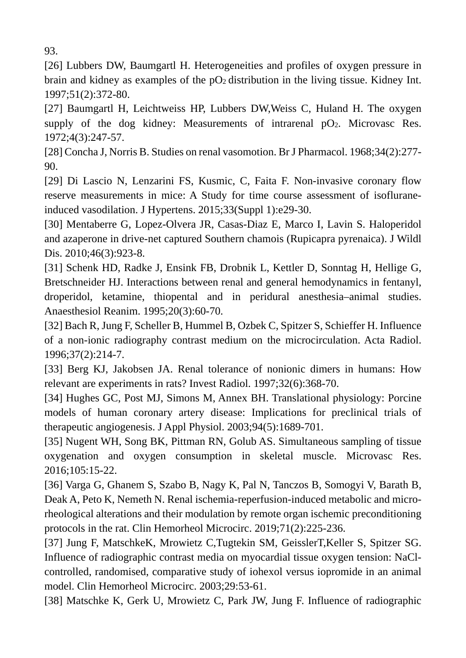93.

[26] Lubbers DW, Baumgartl H. Heterogeneities and profiles of oxygen pressure in brain and kidney as examples of the  $pO<sub>2</sub>$  distribution in the living tissue. Kidney Int. 1997;51(2):372-80.

[27] Baumgartl H, Leichtweiss HP, Lubbers DW, Weiss C, Huland H. The oxygen supply of the dog kidney: Measurements of intrarenal  $pQ_2$ . Microvasc Res. 1972;4(3):247-57.

[28] Concha J, Norris B. Studies on renal vasomotion. Br J Pharmacol. 1968;34(2):277- 90.

[29] Di Lascio N, Lenzarini FS, Kusmic, C, Faita F. Non-invasive coronary flow reserve measurements in mice: A Study for time course assessment of isofluraneinduced vasodilation. J Hypertens. 2015;33(Suppl 1):e29-30.

[30] Mentaberre G, Lopez-Olvera JR, Casas-Diaz E, Marco I, Lavin S. Haloperidol and azaperone in drive-net captured Southern chamois (Rupicapra pyrenaica). J Wildl Dis. 2010;46(3):923-8.

[31] Schenk HD, Radke J, Ensink FB, Drobnik L, Kettler D, Sonntag H, Hellige G, Bretschneider HJ. Interactions between renal and general hemodynamics in fentanyl, droperidol, ketamine, thiopental and in peridural anesthesia–animal studies. Anaesthesiol Reanim. 1995;20(3):60-70.

[32] Bach R, Jung F, Scheller B, Hummel B, Ozbek C, Spitzer S, Schieffer H. Influence of a non-ionic radiography contrast medium on the microcirculation. Acta Radiol. 1996;37(2):214-7.

[33] Berg KJ, Jakobsen JA. Renal tolerance of nonionic dimers in humans: How relevant are experiments in rats? Invest Radiol. 1997;32(6):368-70.

[34] Hughes GC, Post MJ, Simons M, Annex BH. Translational physiology: Porcine models of human coronary artery disease: Implications for preclinical trials of therapeutic angiogenesis. J Appl Physiol. 2003;94(5):1689-701.

[35] Nugent WH, Song BK, Pittman RN, Golub AS. Simultaneous sampling of tissue oxygenation and oxygen consumption in skeletal muscle. Microvasc Res. 2016;105:15-22.

[36] Varga G, Ghanem S, Szabo B, Nagy K, Pal N, Tanczos B, Somogyi V, Barath B, Deak A, Peto K, Nemeth N. Renal ischemia-reperfusion-induced metabolic and microrheological alterations and their modulation by remote organ ischemic preconditioning protocols in the rat. Clin Hemorheol Microcirc. 2019;71(2):225-236.

[37] Jung F, MatschkeK, Mrowietz C,Tugtekin SM, GeisslerT,Keller S, Spitzer SG. Influence of radiographic contrast media on myocardial tissue oxygen tension: NaClcontrolled, randomised, comparative study of iohexol versus iopromide in an animal model. Clin Hemorheol Microcirc. 2003;29:53-61.

[38] Matschke K, Gerk U, Mrowietz C, Park JW, Jung F. Influence of radiographic